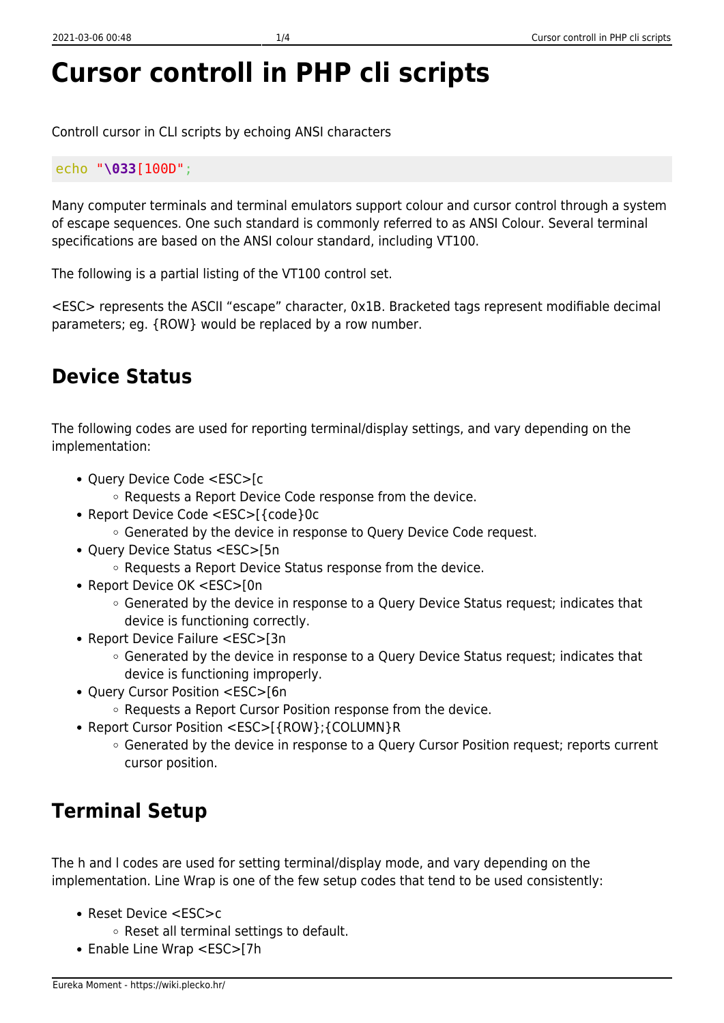# **Cursor controll in PHP cli scripts**

Controll cursor in CLI scripts by echoing ANSI characters

#### echo "**\033**[100D";

Many computer terminals and terminal emulators support colour and cursor control through a system of escape sequences. One such standard is commonly referred to as ANSI Colour. Several terminal specifications are based on the ANSI colour standard, including VT100.

The following is a partial listing of the VT100 control set.

<ESC> represents the ASCII "escape" character, 0x1B. Bracketed tags represent modifiable decimal parameters; eg. {ROW} would be replaced by a row number.

#### **Device Status**

The following codes are used for reporting terminal/display settings, and vary depending on the implementation:

- Query Device Code <ESC>[c
	- Requests a Report Device Code response from the device.
- Report Device Code <ESC>[{code}0c
	- Generated by the device in response to Query Device Code request.
- Query Device Status <ESC>[5n
	- Requests a Report Device Status response from the device.
- Report Device OK <ESC>[0n
	- Generated by the device in response to a Query Device Status request; indicates that device is functioning correctly.
- Report Device Failure <ESC>[3n
	- Generated by the device in response to a Query Device Status request; indicates that device is functioning improperly.
- Query Cursor Position <ESC>[6n
	- Requests a Report Cursor Position response from the device.
- Report Cursor Position <ESC>[{ROW};{COLUMN}R
	- Generated by the device in response to a Query Cursor Position request; reports current cursor position.

#### **Terminal Setup**

The h and l codes are used for setting terminal/display mode, and vary depending on the implementation. Line Wrap is one of the few setup codes that tend to be used consistently:

- Reset Device <ESC>c
	- o Reset all terminal settings to default.
- Enable Line Wrap <ESC>[7h]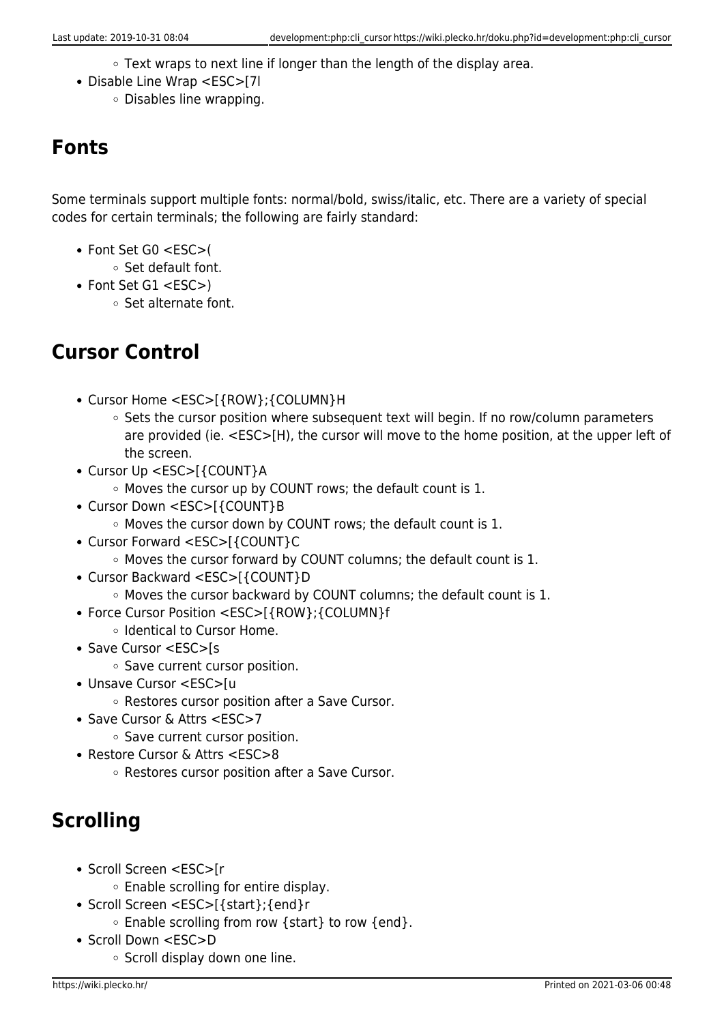- Text wraps to next line if longer than the length of the display area.
- Disable Line Wrap <ESC>[7l
	- Disables line wrapping.

#### **Fonts**

Some terminals support multiple fonts: normal/bold, swiss/italic, etc. There are a variety of special codes for certain terminals; the following are fairly standard:

- Font Set G0 <ESC>(
	- Set default font.
- Font Set G1 <ESC>)
	- Set alternate font.

#### **Cursor Control**

- Cursor Home <ESC>[{ROW};{COLUMN}H
	- $\circ$  Sets the cursor position where subsequent text will begin. If no row/column parameters are provided (ie. <ESC>[H), the cursor will move to the home position, at the upper left of the screen.
- Cursor Up <ESC>[{COUNT}A
	- Moves the cursor up by COUNT rows; the default count is 1.
- Cursor Down <ESC>[{COUNT}B
	- Moves the cursor down by COUNT rows; the default count is 1.
- Cursor Forward <ESC>[{COUNT}C
	- $\circ$  Moves the cursor forward by COUNT columns; the default count is 1.
- Cursor Backward <ESC>[{COUNT}D
	- $\circ$  Moves the cursor backward by COUNT columns; the default count is 1.
- Force Cursor Position <ESC>[{ROW};{COLUMN}f
	- o Identical to Cursor Home.
- Save Cursor <ESC>[s
	- o Save current cursor position.
- Unsave Cursor <ESC>[u
	- Restores cursor position after a Save Cursor.
- Save Cursor & Attrs <ESC>7
	- o Save current cursor position.
- Restore Cursor & Attrs <ESC>8
	- Restores cursor position after a Save Cursor.

## **Scrolling**

- Scroll Screen <ESC>[r
	- Enable scrolling for entire display.
- Scroll Screen <ESC>[{start};{end}r
	- Enable scrolling from row {start} to row {end}.
- Scroll Down <ESC>D
	- $\circ$  Scroll display down one line.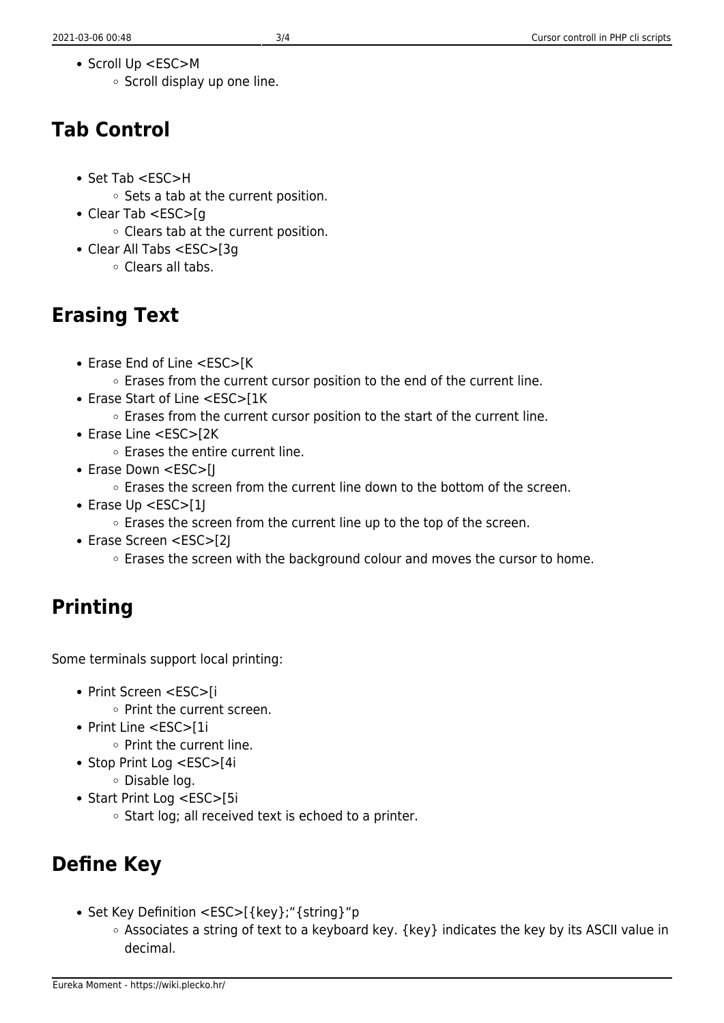- Scroll Up <ESC>M
	- $\circ$  Scroll display up one line.

#### **Tab Control**

- Set Tab <ESC>H
	- $\circ$  Sets a tab at the current position.
- Clear Tab <ESC>[q
	- Clears tab at the current position.
- Clear All Tabs <ESC>[3g Clears all tabs.

## **Erasing Text**

- Erase End of Line <ESC>[K ○ Erases from the current cursor position to the end of the current line.
- Erase Start of Line <ESC>[1K]
	- Erases from the current cursor position to the start of the current line.
- Erase Line <ESC>[2K
	- $\circ$  Erases the entire current line.
- Erase Down <ESC>[]
	- $\circ$  Erases the screen from the current line down to the bottom of the screen.
- Erase Up <ESC>[1]
	- Erases the screen from the current line up to the top of the screen.
- Erase Screen <ESC>[2J
	- **Example 5 and 5 and 7 set of the sample field with the screen with the screen with the Screen Screen** education and the cursor to home.

# **Printing**

Some terminals support local printing:

- Print Screen <ESC>[i
	- o Print the current screen.
- Print Line <ESC>[1i
	- $\circ$  Print the current line.
- Stop Print Log <ESC>[4i
	- Disable log.
- Start Print Log <ESC>[5i
	- $\circ$  Start log; all received text is echoed to a printer.

# **Define Key**

- Set Key Definition <ESC>[{key};"{string}"p
	- Associates a string of text to a keyboard key. {key} indicates the key by its ASCII value in decimal.